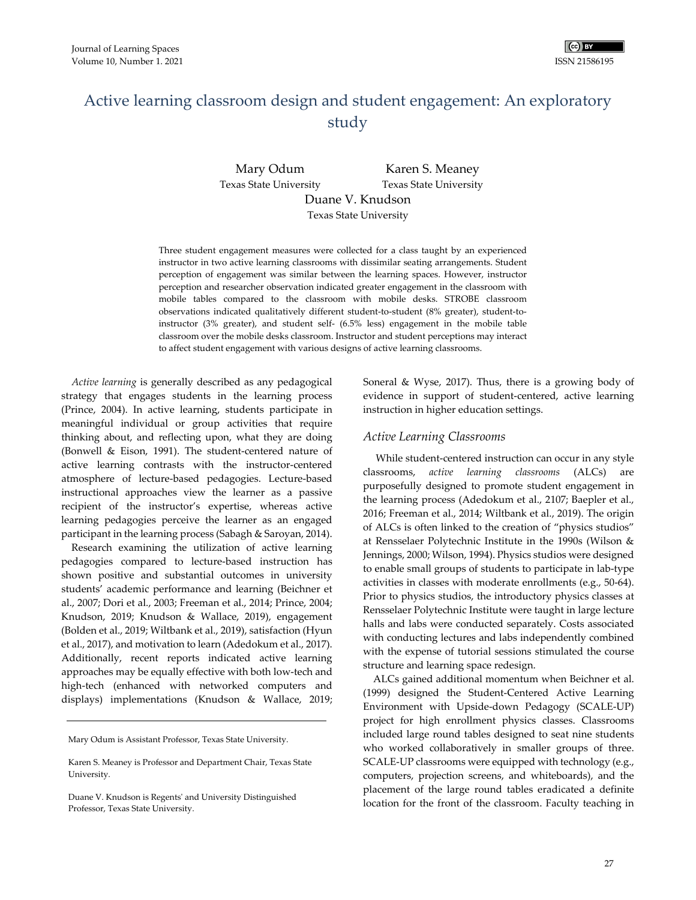

# Active learning classroom design and student engagement: An exploratory study

Mary Odum Texas State University Karen S. Meaney Texas State University Duane V. Knudson

Texas State University

Three student engagement measures were collected for a class taught by an experienced instructor in two active learning classrooms with dissimilar seating arrangements. Student perception of engagement was similar between the learning spaces. However, instructor perception and researcher observation indicated greater engagement in the classroom with mobile tables compared to the classroom with mobile desks. STROBE classroom observations indicated qualitatively different student‐to‐student (8% greater), student‐to‐ instructor (3% greater), and student self‐ (6.5% less) engagement in the mobile table classroom over the mobile desks classroom. Instructor and student perceptions may interact to affect student engagement with various designs of active learning classrooms.

*Active learning* is generally described as any pedagogical strategy that engages students in the learning process (Prince, 2004). In active learning, students participate in meaningful individual or group activities that require thinking about, and reflecting upon, what they are doing (Bonwell & Eison, 1991). The student‐centered nature of active learning contrasts with the instructor‐centered atmosphere of lecture‐based pedagogies. Lecture‐based instructional approaches view the learner as a passive recipient of the instructor's expertise, whereas active learning pedagogies perceive the learner as an engaged participant in the learning process (Sabagh & Saroyan, 2014).

Research examining the utilization of active learning pedagogies compared to lecture‐based instruction has shown positive and substantial outcomes in university students' academic performance and learning (Beichner et al., 2007; Dori et al., 2003; Freeman et al., 2014; Prince, 2004; Knudson, 2019; Knudson & Wallace, 2019), engagement (Bolden et al., 2019; Wiltbank et al., 2019), satisfaction (Hyun et al., 2017), and motivation to learn (Adedokum et al., 2017). Additionally, recent reports indicated active learning approaches may be equally effective with both low‐tech and high-tech (enhanced with networked computers and displays) implementations (Knudson & Wallace, 2019;

Mary Odum is Assistant Professor, Texas State University.

Soneral & Wyse, 2017). Thus, there is a growing body of evidence in support of student‐centered, active learning instruction in higher education settings.

#### *Active Learning Classrooms*

While student-centered instruction can occur in any style classrooms, *active learning classrooms* (ALCs) are purposefully designed to promote student engagement in the learning process (Adedokum et al., 2107; Baepler et al., 2016; Freeman et al., 2014; Wiltbank et al., 2019). The origin of ALCs is often linked to the creation of "physics studios" at Rensselaer Polytechnic Institute in the 1990s (Wilson & Jennings, 2000; Wilson, 1994). Physics studios were designed to enable small groups of students to participate in lab‐type activities in classes with moderate enrollments (e.g., 50‐64). Prior to physics studios, the introductory physics classes at Rensselaer Polytechnic Institute were taught in large lecture halls and labs were conducted separately. Costs associated with conducting lectures and labs independently combined with the expense of tutorial sessions stimulated the course structure and learning space redesign.

ALCs gained additional momentum when Beichner et al. (1999) designed the Student‐Centered Active Learning Environment with Upside‐down Pedagogy (SCALE‐UP) project for high enrollment physics classes. Classrooms included large round tables designed to seat nine students who worked collaboratively in smaller groups of three. SCALE‐UP classrooms were equipped with technology (e.g., computers, projection screens, and whiteboards), and the placement of the large round tables eradicated a definite location for the front of the classroom. Faculty teaching in

Karen S. Meaney is Professor and Department Chair, Texas State University.

Duane V. Knudson is Regentsʹ and University Distinguished Professor, Texas State University.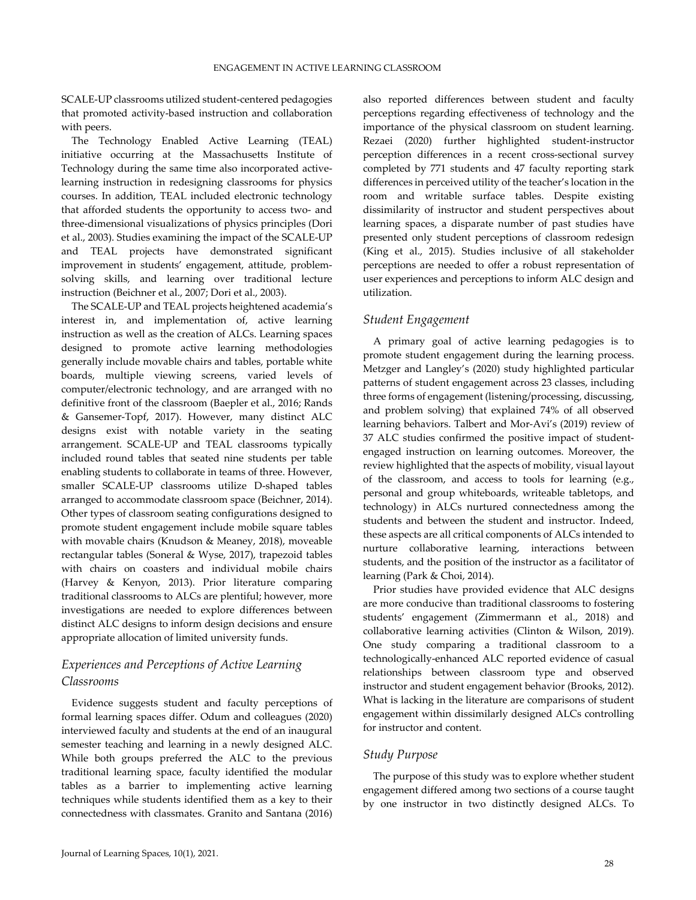SCALE‐UP classrooms utilized student‐centered pedagogies that promoted activity‐based instruction and collaboration with peers.

The Technology Enabled Active Learning (TEAL) initiative occurring at the Massachusetts Institute of Technology during the same time also incorporated active‐ learning instruction in redesigning classrooms for physics courses. In addition, TEAL included electronic technology that afforded students the opportunity to access two‐ and three‐dimensional visualizations of physics principles (Dori et al., 2003). Studies examining the impact of the SCALE‐UP and TEAL projects have demonstrated significant improvement in students' engagement, attitude, problemsolving skills, and learning over traditional lecture instruction (Beichner et al., 2007; Dori et al., 2003).

The SCALE‐UP and TEAL projects heightened academia's interest in, and implementation of, active learning instruction as well as the creation of ALCs. Learning spaces designed to promote active learning methodologies generally include movable chairs and tables, portable white boards, multiple viewing screens, varied levels of computer/electronic technology, and are arranged with no definitive front of the classroom (Baepler et al., 2016; Rands & Gansemer‐Topf, 2017). However, many distinct ALC designs exist with notable variety in the seating arrangement. SCALE‐UP and TEAL classrooms typically included round tables that seated nine students per table enabling students to collaborate in teams of three. However, smaller SCALE‐UP classrooms utilize D‐shaped tables arranged to accommodate classroom space (Beichner, 2014). Other types of classroom seating configurations designed to promote student engagement include mobile square tables with movable chairs (Knudson & Meaney, 2018), moveable rectangular tables (Soneral & Wyse, 2017), trapezoid tables with chairs on coasters and individual mobile chairs (Harvey & Kenyon, 2013). Prior literature comparing traditional classrooms to ALCs are plentiful; however, more investigations are needed to explore differences between distinct ALC designs to inform design decisions and ensure appropriate allocation of limited university funds.

## *Experiences and Perceptions of Active Learning Classrooms*

Evidence suggests student and faculty perceptions of formal learning spaces differ. Odum and colleagues (2020) interviewed faculty and students at the end of an inaugural semester teaching and learning in a newly designed ALC. While both groups preferred the ALC to the previous traditional learning space, faculty identified the modular tables as a barrier to implementing active learning techniques while students identified them as a key to their connectedness with classmates. Granito and Santana (2016) also reported differences between student and faculty perceptions regarding effectiveness of technology and the importance of the physical classroom on student learning. Rezaei (2020) further highlighted student‐instructor perception differences in a recent cross‐sectional survey completed by 771 students and 47 faculty reporting stark differences in perceived utility of the teacher's location in the room and writable surface tables. Despite existing dissimilarity of instructor and student perspectives about learning spaces, a disparate number of past studies have presented only student perceptions of classroom redesign (King et al., 2015). Studies inclusive of all stakeholder perceptions are needed to offer a robust representation of user experiences and perceptions to inform ALC design and utilization.

## *Student Engagement*

A primary goal of active learning pedagogies is to promote student engagement during the learning process. Metzger and Langley's (2020) study highlighted particular patterns of student engagement across 23 classes, including three forms of engagement (listening/processing, discussing, and problem solving) that explained 74% of all observed learning behaviors. Talbert and Mor‐Avi's (2019) review of 37 ALC studies confirmed the positive impact of student‐ engaged instruction on learning outcomes. Moreover, the review highlighted that the aspects of mobility, visual layout of the classroom, and access to tools for learning (e.g., personal and group whiteboards, writeable tabletops, and technology) in ALCs nurtured connectedness among the students and between the student and instructor. Indeed, these aspects are all critical components of ALCs intended to nurture collaborative learning, interactions between students, and the position of the instructor as a facilitator of learning (Park & Choi, 2014).

Prior studies have provided evidence that ALC designs are more conducive than traditional classrooms to fostering students' engagement (Zimmermann et al., 2018) and collaborative learning activities (Clinton & Wilson, 2019). One study comparing a traditional classroom to a technologically‐enhanced ALC reported evidence of casual relationships between classroom type and observed instructor and student engagement behavior (Brooks, 2012). What is lacking in the literature are comparisons of student engagement within dissimilarly designed ALCs controlling for instructor and content.

## *Study Purpose*

The purpose of this study was to explore whether student engagement differed among two sections of a course taught by one instructor in two distinctly designed ALCs. To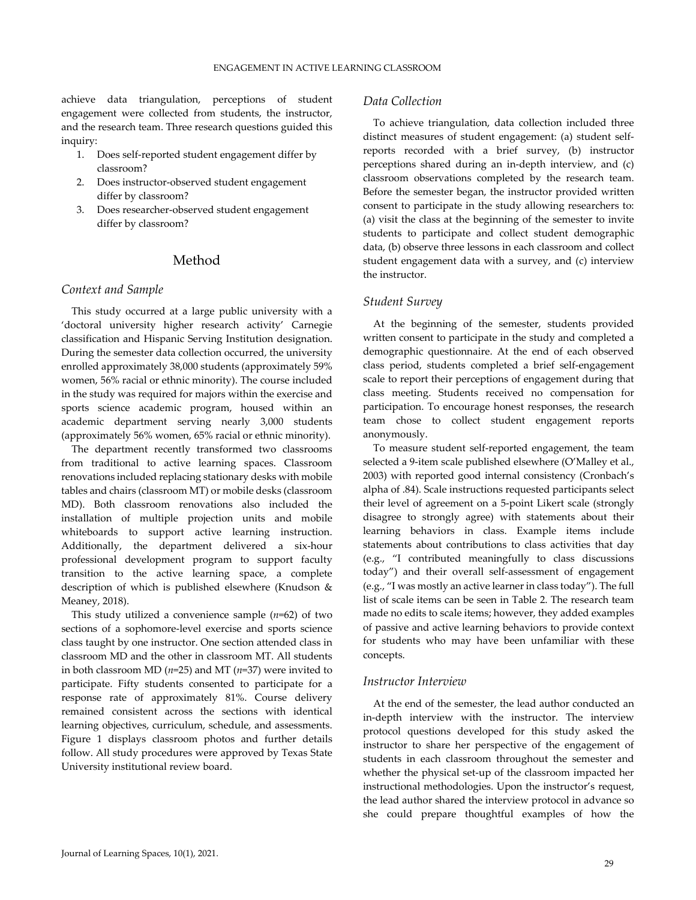achieve data triangulation, perceptions of student engagement were collected from students, the instructor, and the research team. Three research questions guided this inquiry:

- 1. Does self‐reported student engagement differ by classroom?
- 2. Does instructor‐observed student engagement differ by classroom?
- 3. Does researcher‐observed student engagement differ by classroom?

## Method

#### *Context and Sample*

This study occurred at a large public university with a 'doctoral university higher research activity' Carnegie classification and Hispanic Serving Institution designation. During the semester data collection occurred, the university enrolled approximately 38,000 students (approximately 59% women, 56% racial or ethnic minority). The course included in the study was required for majors within the exercise and sports science academic program, housed within an academic department serving nearly 3,000 students (approximately 56% women, 65% racial or ethnic minority).

The department recently transformed two classrooms from traditional to active learning spaces. Classroom renovations included replacing stationary desks with mobile tables and chairs (classroom MT) or mobile desks (classroom MD). Both classroom renovations also included the installation of multiple projection units and mobile whiteboards to support active learning instruction. Additionally, the department delivered a six‐hour professional development program to support faculty transition to the active learning space, a complete description of which is published elsewhere (Knudson & Meaney, 2018).

This study utilized a convenience sample (*n*=62) of two sections of a sophomore‐level exercise and sports science class taught by one instructor. One section attended class in classroom MD and the other in classroom MT. All students in both classroom MD (*n*=25) and MT (*n*=37) were invited to participate. Fifty students consented to participate for a response rate of approximately 81%. Course delivery remained consistent across the sections with identical learning objectives, curriculum, schedule, and assessments. Figure 1 displays classroom photos and further details follow. All study procedures were approved by Texas State University institutional review board.

## *Data Collection*

To achieve triangulation, data collection included three distinct measures of student engagement: (a) student self‐ reports recorded with a brief survey, (b) instructor perceptions shared during an in‐depth interview, and (c) classroom observations completed by the research team. Before the semester began, the instructor provided written consent to participate in the study allowing researchers to: (a) visit the class at the beginning of the semester to invite students to participate and collect student demographic data, (b) observe three lessons in each classroom and collect student engagement data with a survey, and (c) interview the instructor.

## *Student Survey*

At the beginning of the semester, students provided written consent to participate in the study and completed a demographic questionnaire. At the end of each observed class period, students completed a brief self‐engagement scale to report their perceptions of engagement during that class meeting. Students received no compensation for participation. To encourage honest responses, the research team chose to collect student engagement reports anonymously.

To measure student self‐reported engagement, the team selected a 9-item scale published elsewhere (O'Malley et al., 2003) with reported good internal consistency (Cronbach's alpha of .84). Scale instructions requested participants select their level of agreement on a 5‐point Likert scale (strongly disagree to strongly agree) with statements about their learning behaviors in class. Example items include statements about contributions to class activities that day (e.g., "I contributed meaningfully to class discussions today") and their overall self‐assessment of engagement (e.g., "I was mostly an active learner in class today"). The full list of scale items can be seen in Table 2. The research team made no edits to scale items; however, they added examples of passive and active learning behaviors to provide context for students who may have been unfamiliar with these concepts.

#### *Instructor Interview*

At the end of the semester, the lead author conducted an in‐depth interview with the instructor. The interview protocol questions developed for this study asked the instructor to share her perspective of the engagement of students in each classroom throughout the semester and whether the physical set-up of the classroom impacted her instructional methodologies. Upon the instructor's request, the lead author shared the interview protocol in advance so she could prepare thoughtful examples of how the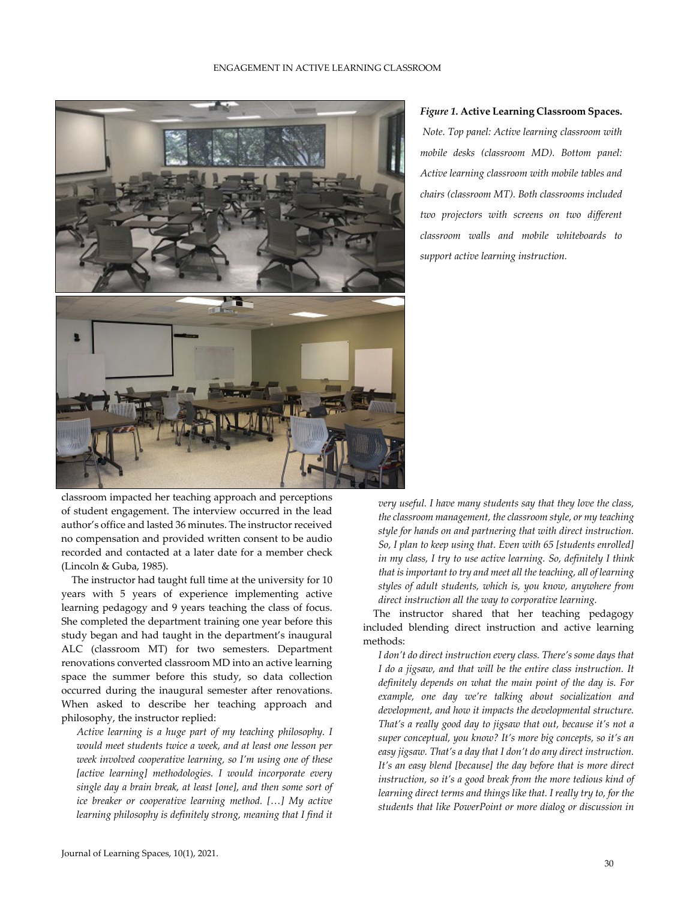

#### *Figure 1.* **Active Learning Classroom Spaces.**

*Note. Top panel: Active learning classroom with mobile desks (classroom MD). Bottom panel: Active learning classroom with mobile tables and chairs (classroom MT). Both classrooms included two projectors with screens on two different classroom walls and mobile whiteboards to support active learning instruction.*

classroom impacted her teaching approach and perceptions of student engagement. The interview occurred in the lead author's office and lasted 36 minutes. The instructor received no compensation and provided written consent to be audio recorded and contacted at a later date for a member check (Lincoln & Guba, 1985).

The instructor had taught full time at the university for 10 years with 5 years of experience implementing active learning pedagogy and 9 years teaching the class of focus. She completed the department training one year before this study began and had taught in the department's inaugural ALC (classroom MT) for two semesters. Department renovations converted classroom MD into an active learning space the summer before this study, so data collection occurred during the inaugural semester after renovations. When asked to describe her teaching approach and philosophy, the instructor replied:

*Active learning is a huge part of my teaching philosophy. I would meet students twice a week, and at least one lesson per week involved cooperative learning, so I'm using one of these [active learning] methodologies. I would incorporate every single day a brain break, at least [one], and then some sort of ice breaker or cooperative learning method. […] My active learning philosophy is definitely strong, meaning that I find it*

*very useful. I have many students say that they love the class, the classroom management, the classroom style, or my teaching style for hands on and partnering that with direct instruction. So, I plan to keep using that. Even with 65 [students enrolled] in my class, I try to use active learning. So, definitely I think that is important to try and meet all the teaching, all of learning styles of adult students, which is, you know, anywhere from direct instruction all the way to corporative learning.*

The instructor shared that her teaching pedagogy included blending direct instruction and active learning methods:

*I don't do direct instruction every class. There's some days that I do a jigsaw, and that will be the entire class instruction. It definitely depends on what the main point of the day is. For example, one day we're talking about socialization and development, and how it impacts the developmental structure. That's a really good day to jigsaw that out, because it's not a super conceptual, you know? It's more big concepts, so it's an easy jigsaw. That's a day that I don't do any direct instruction. It's an easy blend [because] the day before that is more direct instruction, so it's a good break from the more tedious kind of learning direct terms and things like that. I really try to, for the students that like PowerPoint or more dialog or discussion in*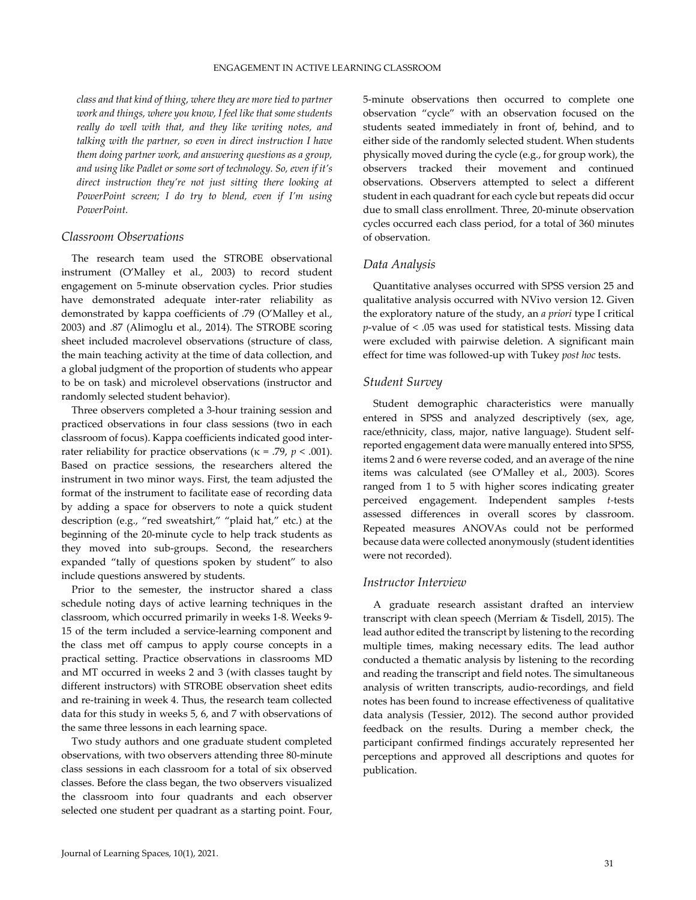*class and that kind of thing, where they are more tied to partner work and things, where you know, I feel like that some students really do well with that, and they like writing notes, and talking with the partner, so even in direct instruction I have them doing partner work, and answering questions as a group, and using like Padlet or some sort of technology. So, even if it's direct instruction they're not just sitting there looking at PowerPoint screen; I do try to blend, even if I'm using PowerPoint.*

#### *Classroom Observations*

The research team used the STROBE observational instrument (O'Malley et al., 2003) to record student engagement on 5‐minute observation cycles. Prior studies have demonstrated adequate inter-rater reliability as demonstrated by kappa coefficients of .79 (O'Malley et al., 2003) and .87 (Alimoglu et al., 2014). The STROBE scoring sheet included macrolevel observations (structure of class, the main teaching activity at the time of data collection, and a global judgment of the proportion of students who appear to be on task) and microlevel observations (instructor and randomly selected student behavior).

Three observers completed a 3‐hour training session and practiced observations in four class sessions (two in each classroom of focus). Kappa coefficients indicated good inter‐ rater reliability for practice observations ( $\kappa$  = .79,  $p$  < .001). Based on practice sessions, the researchers altered the instrument in two minor ways. First, the team adjusted the format of the instrument to facilitate ease of recording data by adding a space for observers to note a quick student description (e.g., "red sweatshirt," "plaid hat," etc.) at the beginning of the 20‐minute cycle to help track students as they moved into sub‐groups. Second, the researchers expanded "tally of questions spoken by student" to also include questions answered by students.

Prior to the semester, the instructor shared a class schedule noting days of active learning techniques in the classroom, which occurred primarily in weeks 1‐8. Weeks 9‐ 15 of the term included a service‐learning component and the class met off campus to apply course concepts in a practical setting. Practice observations in classrooms MD and MT occurred in weeks 2 and 3 (with classes taught by different instructors) with STROBE observation sheet edits and re-training in week 4. Thus, the research team collected data for this study in weeks 5, 6, and 7 with observations of the same three lessons in each learning space.

Two study authors and one graduate student completed observations, with two observers attending three 80‐minute class sessions in each classroom for a total of six observed classes. Before the class began, the two observers visualized the classroom into four quadrants and each observer selected one student per quadrant as a starting point. Four,

5‐minute observations then occurred to complete one observation "cycle" with an observation focused on the students seated immediately in front of, behind, and to either side of the randomly selected student. When students physically moved during the cycle (e.g., for group work), the observers tracked their movement and continued observations. Observers attempted to select a different student in each quadrant for each cycle but repeats did occur due to small class enrollment. Three, 20‐minute observation cycles occurred each class period, for a total of 360 minutes of observation.

## *Data Analysis*

Quantitative analyses occurred with SPSS version 25 and qualitative analysis occurred with NVivo version 12. Given the exploratory nature of the study, an *a priori* type I critical *p*-value of < .05 was used for statistical tests. Missing data were excluded with pairwise deletion. A significant main effect for time was followed‐up with Tukey *post hoc* tests.

## *Student Survey*

Student demographic characteristics were manually entered in SPSS and analyzed descriptively (sex, age, race/ethnicity, class, major, native language). Student self‐ reported engagement data were manually entered into SPSS, items 2 and 6 were reverse coded, and an average of the nine items was calculated (see O'Malley et al., 2003). Scores ranged from 1 to 5 with higher scores indicating greater perceived engagement. Independent samples *t‐*tests assessed differences in overall scores by classroom. Repeated measures ANOVAs could not be performed because data were collected anonymously (student identities were not recorded).

#### *Instructor Interview*

A graduate research assistant drafted an interview transcript with clean speech (Merriam & Tisdell, 2015). The lead author edited the transcript by listening to the recording multiple times, making necessary edits. The lead author conducted a thematic analysis by listening to the recording and reading the transcript and field notes. The simultaneous analysis of written transcripts, audio‐recordings, and field notes has been found to increase effectiveness of qualitative data analysis (Tessier, 2012). The second author provided feedback on the results. During a member check, the participant confirmed findings accurately represented her perceptions and approved all descriptions and quotes for publication.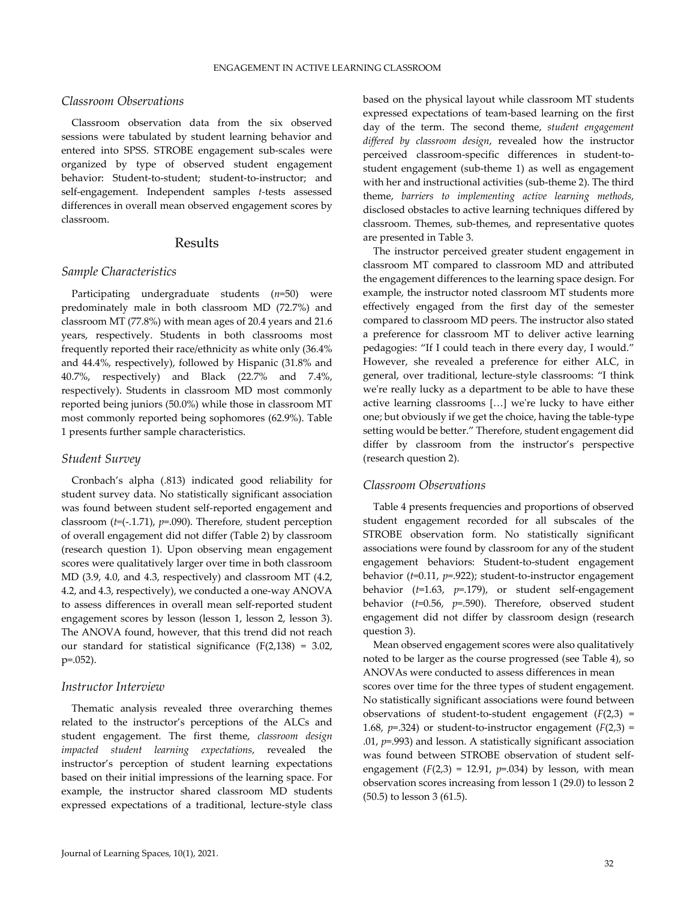## *Classroom Observations*

Classroom observation data from the six observed sessions were tabulated by student learning behavior and entered into SPSS. STROBE engagement sub‐scales were organized by type of observed student engagement behavior: Student-to-student; student-to-instructor; and self-engagement. Independent samples *t*-tests assessed differences in overall mean observed engagement scores by classroom.

## Results

#### *Sample Characteristics*

Participating undergraduate students (*n*=50) were predominately male in both classroom MD (72.7%) and classroom MT (77.8%) with mean ages of 20.4 years and 21.6 years, respectively. Students in both classrooms most frequently reported their race/ethnicity as white only (36.4% and 44.4%, respectively), followed by Hispanic (31.8% and 40.7%, respectively) and Black (22.7% and 7.4%, respectively). Students in classroom MD most commonly reported being juniors (50.0%) while those in classroom MT most commonly reported being sophomores (62.9%). Table 1 presents further sample characteristics.

#### *Student Survey*

Cronbach's alpha (.813) indicated good reliability for student survey data. No statistically significant association was found between student self‐reported engagement and classroom (*t=*(‐.1.71), *p*=.090). Therefore, student perception of overall engagement did not differ (Table 2) by classroom (research question 1). Upon observing mean engagement scores were qualitatively larger over time in both classroom MD (3.9, 4.0, and 4.3, respectively) and classroom MT (4.2, 4.2, and 4.3, respectively), we conducted a one‐way ANOVA to assess differences in overall mean self‐reported student engagement scores by lesson (lesson 1, lesson 2, lesson 3). The ANOVA found, however, that this trend did not reach our standard for statistical significance (F(2,138) = 3.02, p=.052).

#### *Instructor Interview*

Thematic analysis revealed three overarching themes related to the instructor's perceptions of the ALCs and student engagement. The first theme, *classroom design impacted student learning expectations*, revealed the instructor's perception of student learning expectations based on their initial impressions of the learning space. For example, the instructor shared classroom MD students expressed expectations of a traditional, lecture‐style class

based on the physical layout while classroom MT students expressed expectations of team‐based learning on the first day of the term. The second theme, *student engagement differed by classroom design*, revealed how the instructor perceived classroom-specific differences in student-tostudent engagement (sub‐theme 1) as well as engagement with her and instructional activities (sub‐theme 2). The third theme, *barriers to implementing active learning methods*, disclosed obstacles to active learning techniques differed by classroom. Themes, sub‐themes, and representative quotes are presented in Table 3.

The instructor perceived greater student engagement in classroom MT compared to classroom MD and attributed the engagement differences to the learning space design. For example, the instructor noted classroom MT students more effectively engaged from the first day of the semester compared to classroom MD peers. The instructor also stated a preference for classroom MT to deliver active learning pedagogies: "If I could teach in there every day, I would." However, she revealed a preference for either ALC, in general, over traditional, lecture‐style classrooms: "I think we're really lucky as a department to be able to have these active learning classrooms [...] we're lucky to have either one; but obviously if we get the choice, having the table‐type setting would be better." Therefore, student engagement did differ by classroom from the instructor's perspective (research question 2).

#### *Classroom Observations*

Table 4 presents frequencies and proportions of observed student engagement recorded for all subscales of the STROBE observation form. No statistically significant associations were found by classroom for any of the student engagement behaviors: Student‐to‐student engagement behavior (*t*=0.11, *p*=.922); student‐to‐instructor engagement behavior (*t*=1.63, *p*=.179), or student self‐engagement behavior (*t*=0.56, *p*=.590). Therefore, observed student engagement did not differ by classroom design (research question 3).

Mean observed engagement scores were also qualitatively noted to be larger as the course progressed (see Table 4), so ANOVAs were conducted to assess differences in mean

scores over time for the three types of student engagement. No statistically significant associations were found between observations of student-to-student engagement  $(F(2,3) =$ 1.68,  $p = 0.324$ ) or student-to-instructor engagement  $(F(2,3) =$ .01, *p*=.993) and lesson. A statistically significant association was found between STROBE observation of student self‐ engagement  $(F(2,3) = 12.91, p=.034)$  by lesson, with mean observation scores increasing from lesson 1 (29.0) to lesson 2 (50.5) to lesson 3 (61.5).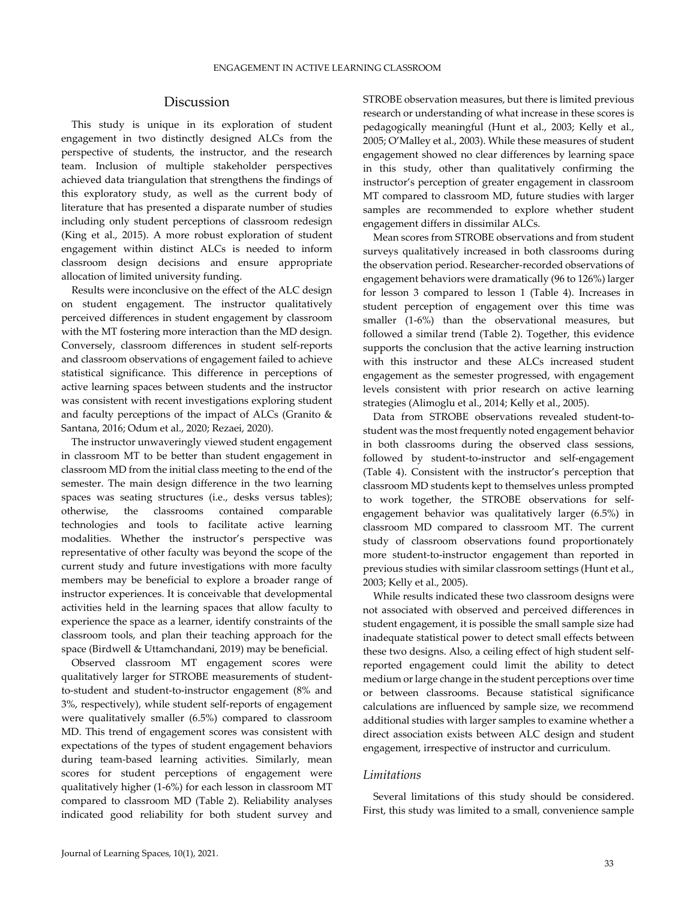## Discussion

This study is unique in its exploration of student engagement in two distinctly designed ALCs from the perspective of students, the instructor, and the research team. Inclusion of multiple stakeholder perspectives achieved data triangulation that strengthens the findings of this exploratory study, as well as the current body of literature that has presented a disparate number of studies including only student perceptions of classroom redesign (King et al., 2015). A more robust exploration of student engagement within distinct ALCs is needed to inform classroom design decisions and ensure appropriate allocation of limited university funding.

Results were inconclusive on the effect of the ALC design on student engagement. The instructor qualitatively perceived differences in student engagement by classroom with the MT fostering more interaction than the MD design. Conversely, classroom differences in student self‐reports and classroom observations of engagement failed to achieve statistical significance. This difference in perceptions of active learning spaces between students and the instructor was consistent with recent investigations exploring student and faculty perceptions of the impact of ALCs (Granito & Santana, 2016; Odum et al., 2020; Rezaei, 2020).

The instructor unwaveringly viewed student engagement in classroom MT to be better than student engagement in classroom MD from the initial class meeting to the end of the semester. The main design difference in the two learning spaces was seating structures (i.e., desks versus tables); otherwise, the classrooms contained comparable technologies and tools to facilitate active learning modalities. Whether the instructor's perspective was representative of other faculty was beyond the scope of the current study and future investigations with more faculty members may be beneficial to explore a broader range of instructor experiences. It is conceivable that developmental activities held in the learning spaces that allow faculty to experience the space as a learner, identify constraints of the classroom tools, and plan their teaching approach for the space (Birdwell & Uttamchandani, 2019) may be beneficial.

Observed classroom MT engagement scores were qualitatively larger for STROBE measurements of student‐ to‐student and student‐to‐instructor engagement (8% and 3%, respectively), while student self‐reports of engagement were qualitatively smaller (6.5%) compared to classroom MD. This trend of engagement scores was consistent with expectations of the types of student engagement behaviors during team‐based learning activities. Similarly, mean scores for student perceptions of engagement were qualitatively higher (1‐6%) for each lesson in classroom MT compared to classroom MD (Table 2). Reliability analyses indicated good reliability for both student survey and STROBE observation measures, but there is limited previous research or understanding of what increase in these scores is pedagogically meaningful (Hunt et al., 2003; Kelly et al., 2005; O'Malley et al., 2003). While these measures of student engagement showed no clear differences by learning space in this study, other than qualitatively confirming the instructor's perception of greater engagement in classroom MT compared to classroom MD, future studies with larger samples are recommended to explore whether student engagement differs in dissimilar ALCs.

Mean scores from STROBE observations and from student surveys qualitatively increased in both classrooms during the observation period. Researcher‐recorded observations of engagement behaviors were dramatically (96 to 126%) larger for lesson 3 compared to lesson 1 (Table 4). Increases in student perception of engagement over this time was smaller (1-6%) than the observational measures, but followed a similar trend (Table 2). Together, this evidence supports the conclusion that the active learning instruction with this instructor and these ALCs increased student engagement as the semester progressed, with engagement levels consistent with prior research on active learning strategies (Alimoglu et al., 2014; Kelly et al., 2005).

Data from STROBE observations revealed student-tostudent was the most frequently noted engagement behavior in both classrooms during the observed class sessions, followed by student-to-instructor and self-engagement (Table 4). Consistent with the instructor's perception that classroom MD students kept to themselves unless prompted to work together, the STROBE observations for self‐ engagement behavior was qualitatively larger (6.5%) in classroom MD compared to classroom MT. The current study of classroom observations found proportionately more student-to-instructor engagement than reported in previous studies with similar classroom settings (Hunt et al., 2003; Kelly et al., 2005).

While results indicated these two classroom designs were not associated with observed and perceived differences in student engagement, it is possible the small sample size had inadequate statistical power to detect small effects between these two designs. Also, a ceiling effect of high student self‐ reported engagement could limit the ability to detect medium or large change in the student perceptions over time or between classrooms. Because statistical significance calculations are influenced by sample size, we recommend additional studies with larger samples to examine whether a direct association exists between ALC design and student engagement, irrespective of instructor and curriculum.

#### *Limitations*

Several limitations of this study should be considered. First, this study was limited to a small, convenience sample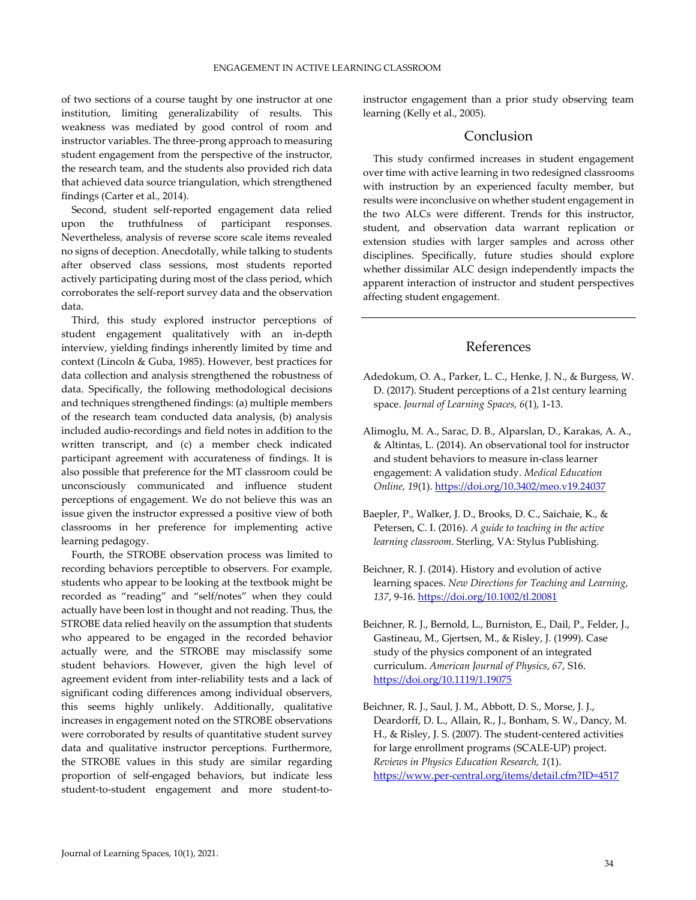of two sections of a course taught by one instructor at one institution, limiting generalizability of results. This weakness was mediated by good control of room and instructor variables. The three‐prong approach to measuring student engagement from the perspective of the instructor, the research team, and the students also provided rich data that achieved data source triangulation, which strengthened findings (Carter et al., 2014).

Second, student self‐reported engagement data relied upon the truthfulness of participant responses. Nevertheless, analysis of reverse score scale items revealed no signs of deception. Anecdotally, while talking to students after observed class sessions, most students reported actively participating during most of the class period, which corroborates the self‐report survey data and the observation data.

Third, this study explored instructor perceptions of student engagement qualitatively with an in‐depth interview, yielding findings inherently limited by time and context (Lincoln & Guba, 1985). However, best practices for data collection and analysis strengthened the robustness of data. Specifically, the following methodological decisions and techniques strengthened findings: (a) multiple members of the research team conducted data analysis, (b) analysis included audio‐recordings and field notes in addition to the written transcript, and (c) a member check indicated participant agreement with accurateness of findings. It is also possible that preference for the MT classroom could be unconsciously communicated and influence student perceptions of engagement. We do not believe this was an issue given the instructor expressed a positive view of both classrooms in her preference for implementing active learning pedagogy.

Fourth, the STROBE observation process was limited to recording behaviors perceptible to observers. For example, students who appear to be looking at the textbook might be recorded as "reading" and "self/notes" when they could actually have been lost in thought and not reading. Thus, the STROBE data relied heavily on the assumption that students who appeared to be engaged in the recorded behavior actually were, and the STROBE may misclassify some student behaviors. However, given the high level of agreement evident from inter‐reliability tests and a lack of significant coding differences among individual observers, this seems highly unlikely. Additionally, qualitative increases in engagement noted on the STROBE observations were corroborated by results of quantitative student survey data and qualitative instructor perceptions. Furthermore, the STROBE values in this study are similar regarding proportion of self‐engaged behaviors, but indicate less student-to-student engagement and more student-toinstructor engagement than a prior study observing team learning (Kelly et al., 2005).

## Conclusion

This study confirmed increases in student engagement over time with active learning in two redesigned classrooms with instruction by an experienced faculty member, but results were inconclusive on whether student engagement in the two ALCs were different. Trends for this instructor, student, and observation data warrant replication or extension studies with larger samples and across other disciplines. Specifically, future studies should explore whether dissimilar ALC design independently impacts the apparent interaction of instructor and student perspectives affecting student engagement.

## References

- Adedokum, O. A., Parker, L. C., Henke, J. N., & Burgess, W. D. (2017). Student perceptions of a 21st century learning space. *Journal of Learning Spaces, 6*(1), 1‐13.
- Alimoglu, M. A., Sarac, D. B., Alparslan, D., Karakas, A. A., & Altintas, L. (2014). An observational tool for instructor and student behaviors to measure in‐class learner engagement: A validation study. *Medical Education Online, 19*(1). https://doi.org/10.3402/meo.v19.24037
- Baepler, P., Walker, J. D., Brooks, D. C., Saichaie, K., & Petersen, C. I. (2016). *A guide to teaching in the active learning classroom*. Sterling, VA: Stylus Publishing.
- Beichner, R. J. (2014). History and evolution of active learning spaces. *New Directions for Teaching and Learning*, *137*, 9‐16. https://doi.org/10.1002/tl.20081
- Beichner, R. J., Bernold, L., Burniston, E., Dail, P., Felder, J., Gastineau, M., Gjertsen, M., & Risley, J. (1999). Case study of the physics component of an integrated curriculum. *American Journal of Physics*, *67*, S16. https://doi.org/10.1119/1.19075
- Beichner, R. J., Saul, J. M., Abbott, D. S., Morse, J. J., Deardorff, D. L., Allain, R., J., Bonham, S. W., Dancy, M. H., & Risley, J. S. (2007). The student‐centered activities for large enrollment programs (SCALE‐UP) project. *Reviews in Physics Education Research, 1*(1). https://www.per‐central.org/items/detail.cfm?ID=4517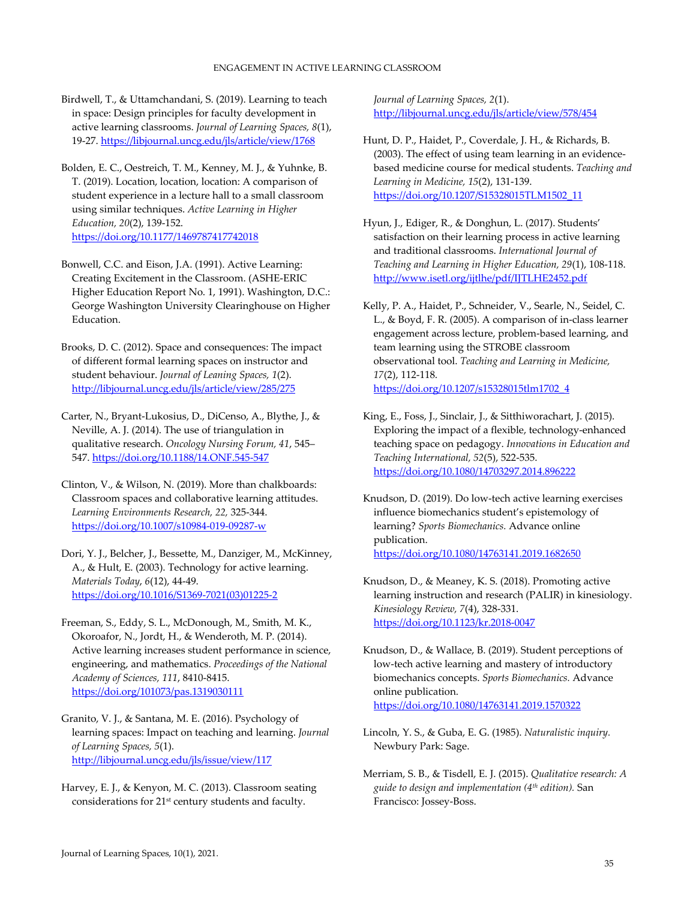Birdwell, T., & Uttamchandani, S. (2019). Learning to teach in space: Design principles for faculty development in active learning classrooms. *Journal of Learning Spaces, 8*(1), 19‐27. https://libjournal.uncg.edu/jls/article/view/1768

Bolden, E. C., Oestreich, T. M., Kenney, M. J., & Yuhnke, B. T. (2019). Location, location, location: A comparison of student experience in a lecture hall to a small classroom using similar techniques. *Active Learning in Higher Education, 20*(2), 139‐152. https://doi.org/10.1177/1469787417742018

Bonwell, C.C. and Eison, J.A. (1991). Active Learning: Creating Excitement in the Classroom. (ASHE‐ERIC Higher Education Report No. 1, 1991). Washington, D.C.: George Washington University Clearinghouse on Higher Education.

Brooks, D. C. (2012). Space and consequences: The impact of different formal learning spaces on instructor and student behaviour. *Journal of Leaning Spaces, 1*(2). http://libjournal.uncg.edu/jls/article/view/285/275

Carter, N., Bryant‐Lukosius, D., DiCenso, A., Blythe, J., & Neville, A. J. (2014). The use of triangulation in qualitative research. *Oncology Nursing Forum, 41*, 545– 547. https://doi.org/10.1188/14.ONF.545‐547

Clinton, V., & Wilson, N. (2019). More than chalkboards: Classroom spaces and collaborative learning attitudes. *Learning Environments Research, 22,* 325‐344. https://doi.org/10.1007/s10984‐019‐09287‐w

Dori, Y. J., Belcher, J., Bessette, M., Danziger, M., McKinney, A., & Hult, E. (2003). Technology for active learning. *Materials Today*, *6*(12), 44‐49. https://doi.org/10.1016/S1369‐7021(03)01225‐2

Freeman, S., Eddy, S. L., McDonough, M., Smith, M. K., Okoroafor, N., Jordt, H., & Wenderoth, M. P. (2014). Active learning increases student performance in science, engineering, and mathematics. *Proceedings of the National Academy of Sciences, 111*, 8410‐8415. https://doi.org/101073/pas.1319030111

Granito, V. J., & Santana, M. E. (2016). Psychology of learning spaces: Impact on teaching and learning. *Journal of Learning Spaces, 5*(1). http://libjournal.uncg.edu/jls/issue/view/117

Harvey, E. J., & Kenyon, M. C. (2013). Classroom seating considerations for 21st century students and faculty.

*Journal of Learning Spaces, 2*(1). http://libjournal.uncg.edu/jls/article/view/578/454

- Hunt, D. P., Haidet, P., Coverdale, J. H., & Richards, B. (2003). The effect of using team learning in an evidence‐ based medicine course for medical students. *Teaching and Learning in Medicine, 15*(2), 131‐139. https://doi.org/10.1207/S15328015TLM1502\_11
- Hyun, J., Ediger, R., & Donghun, L. (2017). Students' satisfaction on their learning process in active learning and traditional classrooms. *International Journal of Teaching and Learning in Higher Education, 29*(1), 108‐118. http://www.isetl.org/ijtlhe/pdf/IJTLHE2452.pdf
- Kelly, P. A., Haidet, P., Schneider, V., Searle, N., Seidel, C. L., & Boyd, F. R. (2005). A comparison of in‐class learner engagement across lecture, problem‐based learning, and team learning using the STROBE classroom observational tool. *Teaching and Learning in Medicine, 17*(2), 112‐118. https://doi.org/10.1207/s15328015tlm1702\_4
- King, E., Foss, J., Sinclair, J., & Sitthiworachart, J. (2015). Exploring the impact of a flexible, technology‐enhanced teaching space on pedagogy. *Innovations in Education and Teaching International, 52*(5), 522‐535. https://doi.org/10.1080/14703297.2014.896222
- Knudson, D. (2019). Do low‐tech active learning exercises influence biomechanics student's epistemology of learning? *Sports Biomechanics.* Advance online publication. https://doi.org/10.1080/14763141.2019.1682650
- Knudson, D., & Meaney, K. S. (2018). Promoting active learning instruction and research (PALIR) in kinesiology. *Kinesiology Review, 7*(4), 328‐331. https://doi.org/10.1123/kr.2018‐0047

Knudson, D., & Wallace, B. (2019). Student perceptions of low‐tech active learning and mastery of introductory biomechanics concepts. *Sports Biomechanics.* Advance online publication. https://doi.org/10.1080/14763141.2019.1570322

- Lincoln, Y. S., & Guba, E. G. (1985). *Naturalistic inquiry.* Newbury Park: Sage.
- Merriam, S. B., & Tisdell, E. J. (2015). *Qualitative research: A guide to design and implementation (4th edition).* San Francisco: Jossey‐Boss.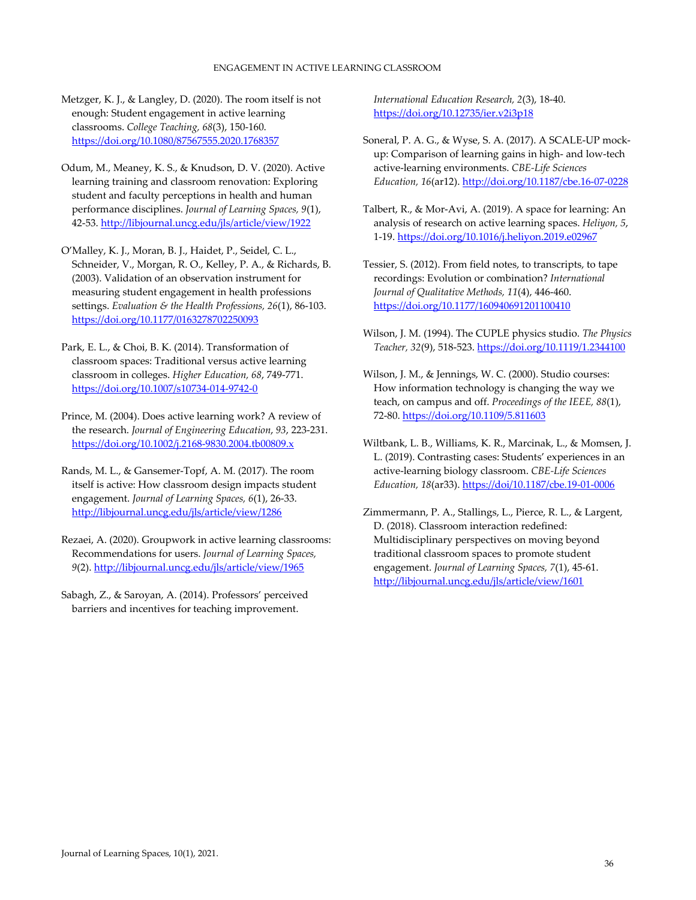Metzger, K. J., & Langley, D. (2020). The room itself is not enough: Student engagement in active learning classrooms. *College Teaching, 68*(3), 150‐160. https://doi.org/10.1080/87567555.2020.1768357

- Odum, M., Meaney, K. S., & Knudson, D. V. (2020). Active learning training and classroom renovation: Exploring student and faculty perceptions in health and human performance disciplines. *Journal of Learning Spaces, 9*(1), 42-53. http://libjournal.uncg.edu/jls/article/view/1922
- O'Malley, K. J., Moran, B. J., Haidet, P., Seidel, C. L., Schneider, V., Morgan, R. O., Kelley, P. A., & Richards, B. (2003). Validation of an observation instrument for measuring student engagement in health professions settings. *Evaluation & the Health Professions, 26*(1), 86‐103. https://doi.org/10.1177/0163278702250093
- Park, E. L., & Choi, B. K. (2014). Transformation of classroom spaces: Traditional versus active learning classroom in colleges. *Higher Education, 68*, 749‐771. https://doi.org/10.1007/s10734‐014‐9742‐0
- Prince, M. (2004). Does active learning work? A review of the research. *Journal of Engineering Education*, *93*, 223‐231. https://doi.org/10.1002/j.2168‐9830.2004.tb00809.x
- Rands, M. L., & Gansemer‐Topf, A. M. (2017). The room itself is active: How classroom design impacts student engagement. *Journal of Learning Spaces, 6*(1), 26‐33. http://libjournal.uncg.edu/jls/article/view/1286
- Rezaei, A. (2020). Groupwork in active learning classrooms: Recommendations for users. *Journal of Learning Spaces, 9*(2). http://libjournal.uncg.edu/jls/article/view/1965
- Sabagh, Z., & Saroyan, A. (2014). Professors' perceived barriers and incentives for teaching improvement.

*International Education Research, 2*(3), 18‐40. https://doi.org/10.12735/ier.v2i3p18

- Soneral, P. A. G., & Wyse, S. A. (2017). A SCALE‐UP mock‐ up: Comparison of learning gains in high‐ and low‐tech active‐learning environments. *CBE‐Life Sciences Education, 16*(ar12). http://doi.org/10.1187/cbe.16‐07‐0228
- Talbert, R., & Mor‐Avi, A. (2019). A space for learning: An analysis of research on active learning spaces. *Heliyon, 5*, 1‐19. https://doi.org/10.1016/j.heliyon.2019.e02967
- Tessier, S. (2012). From field notes, to transcripts, to tape recordings: Evolution or combination? *International Journal of Qualitative Methods, 11*(4), 446‐460. https://doi.org/10.1177/160940691201100410
- Wilson, J. M. (1994). The CUPLE physics studio. *The Physics Teacher, 32*(9), 518‐523. https://doi.org/10.1119/1.2344100
- Wilson, J. M., & Jennings, W. C. (2000). Studio courses: How information technology is changing the way we teach, on campus and off. *Proceedings of the IEEE, 88*(1), 72‐80. https://doi.org/10.1109/5.811603
- Wiltbank, L. B., Williams, K. R., Marcinak, L., & Momsen, J. L. (2019). Contrasting cases: Students' experiences in an active‐learning biology classroom. *CBE‐Life Sciences Education, 18*(ar33). https://doi/10.1187/cbe.19‐01‐0006
- Zimmermann, P. A., Stallings, L., Pierce, R. L., & Largent, D. (2018). Classroom interaction redefined: Multidisciplinary perspectives on moving beyond traditional classroom spaces to promote student engagement. *Journal of Learning Spaces, 7*(1), 45‐61. http://libjournal.uncg.edu/jls/article/view/1601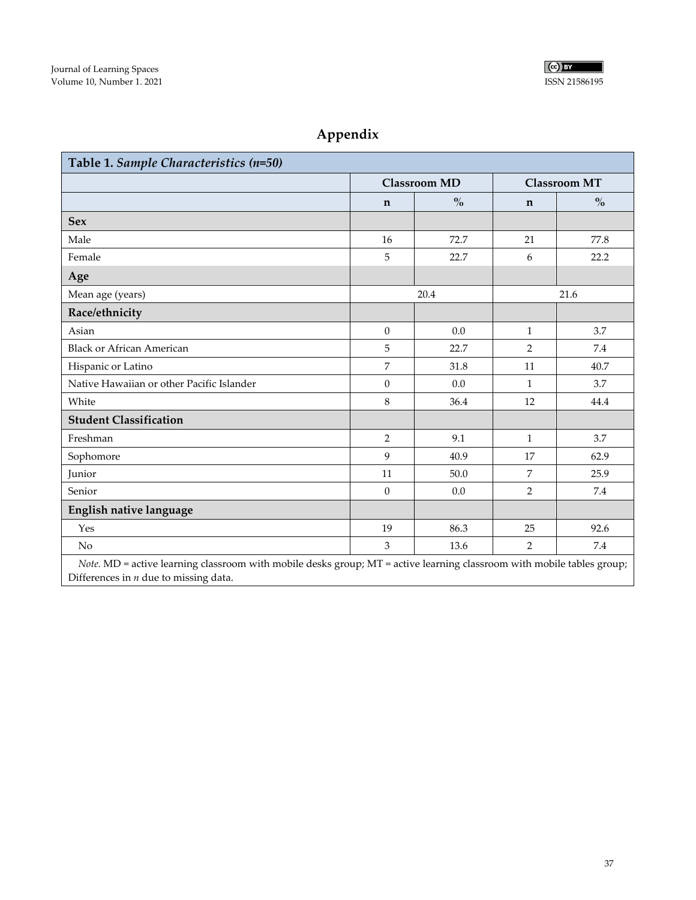

# **Appendix**

| Table 1. Sample Characteristics (n=50)                                                                                    |                     |               |                     |                                    |  |  |
|---------------------------------------------------------------------------------------------------------------------------|---------------------|---------------|---------------------|------------------------------------|--|--|
|                                                                                                                           | <b>Classroom MD</b> |               | <b>Classroom MT</b> |                                    |  |  |
|                                                                                                                           | $\mathbf n$         | $\frac{0}{0}$ | $\mathbf n$         | $\mathbf{O}_{\mathbf{O}}^{\prime}$ |  |  |
| <b>Sex</b>                                                                                                                |                     |               |                     |                                    |  |  |
| Male                                                                                                                      | 16                  | 72.7          | 21                  | 77.8                               |  |  |
| Female                                                                                                                    | 5                   | 22.7          | 6                   | 22.2                               |  |  |
| Age                                                                                                                       |                     |               |                     |                                    |  |  |
| Mean age (years)                                                                                                          | 20.4                |               | 21.6                |                                    |  |  |
| Race/ethnicity                                                                                                            |                     |               |                     |                                    |  |  |
| Asian                                                                                                                     | $\boldsymbol{0}$    | 0.0           | $\mathbf{1}$        | 3.7                                |  |  |
| <b>Black or African American</b>                                                                                          | 5                   | 22.7          | $\overline{2}$      | 7.4                                |  |  |
| Hispanic or Latino                                                                                                        | $\overline{7}$      | 31.8          | 11                  | 40.7                               |  |  |
| Native Hawaiian or other Pacific Islander                                                                                 | $\boldsymbol{0}$    | 0.0           | $\mathbf{1}$        | 3.7                                |  |  |
| White                                                                                                                     | 8                   | 36.4          | 12                  | 44.4                               |  |  |
| <b>Student Classification</b>                                                                                             |                     |               |                     |                                    |  |  |
| Freshman                                                                                                                  | $\overline{2}$      | 9.1           | $\mathbf{1}$        | 3.7                                |  |  |
| Sophomore                                                                                                                 | 9                   | 40.9          | 17                  | 62.9                               |  |  |
| Junior                                                                                                                    | 11                  | 50.0          | 7                   | 25.9                               |  |  |
| Senior                                                                                                                    | $\boldsymbol{0}$    | 0.0           | $\overline{2}$      | 7.4                                |  |  |
| English native language                                                                                                   |                     |               |                     |                                    |  |  |
| Yes                                                                                                                       | 19                  | 86.3          | 25                  | 92.6                               |  |  |
| N <sub>o</sub>                                                                                                            | 3                   | 13.6          | $\overline{2}$      | 7.4                                |  |  |
| Note $MD =$ active learning classroom with mobile desks group: $MT =$ active learning classroom with mobile tables group: |                     |               |                     |                                    |  |  |

mobile desks group; MT = active learning classroom with mobile tables group; *Note.*  $MD =$  active learning classroor.<br>Differences in *n* due to missing data.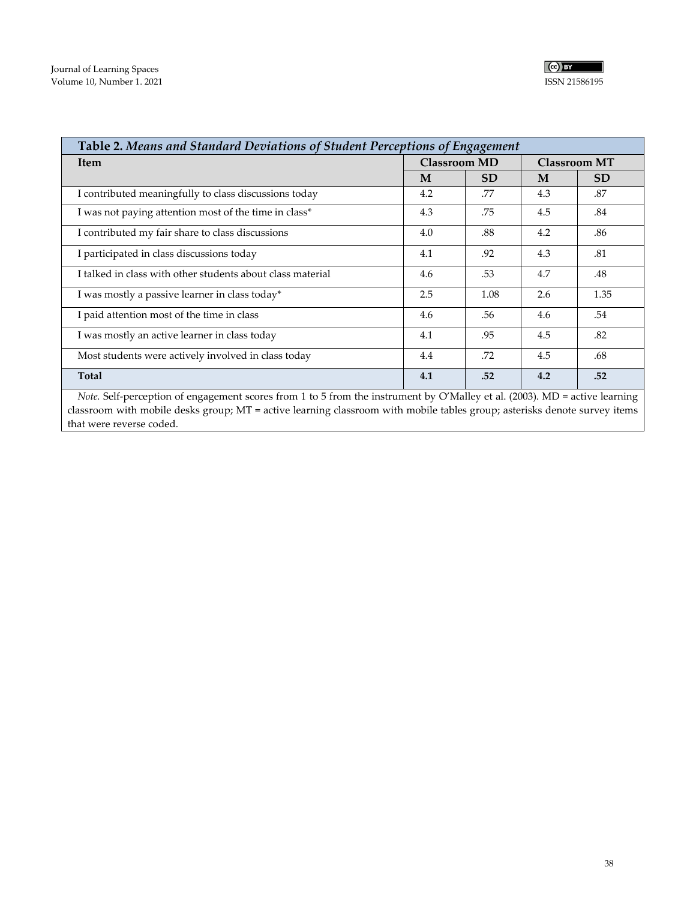| Table 2. Means and Standard Deviations of Student Perceptions of Engagement |                                            |           |     |           |  |
|-----------------------------------------------------------------------------|--------------------------------------------|-----------|-----|-----------|--|
| <b>Item</b>                                                                 | <b>Classroom MD</b><br><b>Classroom MT</b> |           |     |           |  |
|                                                                             | M                                          | <b>SD</b> | M   | <b>SD</b> |  |
| I contributed meaningfully to class discussions today                       | 4.2                                        | .77       | 4.3 | .87       |  |
| I was not paying attention most of the time in class*                       | 4.3                                        | .75       | 4.5 | .84       |  |
| I contributed my fair share to class discussions                            | 4.0                                        | .88       | 4.2 | .86       |  |
| I participated in class discussions today                                   | 4.1                                        | .92       | 4.3 | .81       |  |
| I talked in class with other students about class material                  | 4.6                                        | .53       | 4.7 | .48       |  |
| I was mostly a passive learner in class today*                              | 2.5                                        | 1.08      | 2.6 | 1.35      |  |
| I paid attention most of the time in class                                  | 4.6                                        | .56       | 4.6 | .54       |  |
| I was mostly an active learner in class today                               | 4.1                                        | .95       | 4.5 | .82       |  |
| Most students were actively involved in class today                         | 4.4                                        | .72       | 4.5 | .68       |  |
| Total                                                                       | 4.1                                        | .52       | 4.2 | .52       |  |

*Note.* Self-perception of engagement scores from 1 to 5 from the instrument by O'Malley et al. (2003). MD = active learning classroom with mobile desks group; MT = active learning classroom with mobile tables group; asterisks denote survey items that were reverse coded.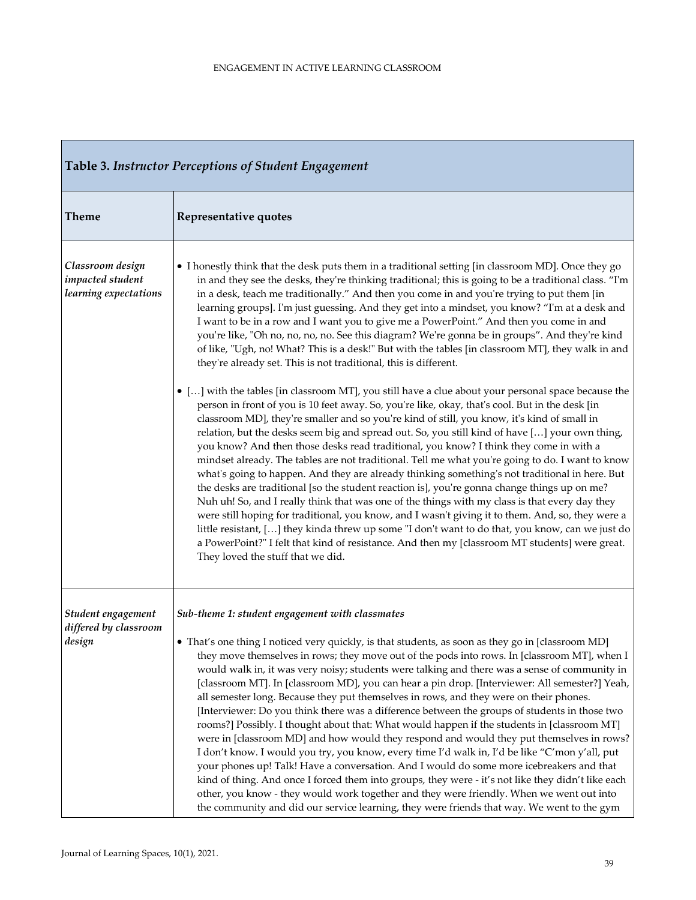| Table 3. Instructor Perceptions of Student Engagement         |                                                                                                                                                                                                                                                                                                                                                                                                                                                                                                                                                                                                                                                                                                                                                                                                                                                                                                                                                                                                                                                                                                                                                                                                                                                                                                                                                                                                                                                                                                                                                                                                                                                                                                                                                                                                                                                                                                                                                                                                                                                  |  |  |  |
|---------------------------------------------------------------|--------------------------------------------------------------------------------------------------------------------------------------------------------------------------------------------------------------------------------------------------------------------------------------------------------------------------------------------------------------------------------------------------------------------------------------------------------------------------------------------------------------------------------------------------------------------------------------------------------------------------------------------------------------------------------------------------------------------------------------------------------------------------------------------------------------------------------------------------------------------------------------------------------------------------------------------------------------------------------------------------------------------------------------------------------------------------------------------------------------------------------------------------------------------------------------------------------------------------------------------------------------------------------------------------------------------------------------------------------------------------------------------------------------------------------------------------------------------------------------------------------------------------------------------------------------------------------------------------------------------------------------------------------------------------------------------------------------------------------------------------------------------------------------------------------------------------------------------------------------------------------------------------------------------------------------------------------------------------------------------------------------------------------------------------|--|--|--|
| <b>Theme</b>                                                  | Representative quotes                                                                                                                                                                                                                                                                                                                                                                                                                                                                                                                                                                                                                                                                                                                                                                                                                                                                                                                                                                                                                                                                                                                                                                                                                                                                                                                                                                                                                                                                                                                                                                                                                                                                                                                                                                                                                                                                                                                                                                                                                            |  |  |  |
| Classroom design<br>impacted student<br>learning expectations | • I honestly think that the desk puts them in a traditional setting [in classroom MD]. Once they go<br>in and they see the desks, they're thinking traditional; this is going to be a traditional class. "I'm<br>in a desk, teach me traditionally." And then you come in and you're trying to put them [in<br>learning groups]. I'm just guessing. And they get into a mindset, you know? "I'm at a desk and<br>I want to be in a row and I want you to give me a PowerPoint." And then you come in and<br>you're like, "Oh no, no, no, no. See this diagram? We're gonna be in groups". And they're kind<br>of like, "Ugh, no! What? This is a desk!" But with the tables [in classroom MT], they walk in and<br>they're already set. This is not traditional, this is different.<br>• [] with the tables [in classroom MT], you still have a clue about your personal space because the<br>person in front of you is 10 feet away. So, you're like, okay, that's cool. But in the desk [in<br>classroom MD], they're smaller and so you're kind of still, you know, it's kind of small in<br>relation, but the desks seem big and spread out. So, you still kind of have [] your own thing,<br>you know? And then those desks read traditional, you know? I think they come in with a<br>mindset already. The tables are not traditional. Tell me what you're going to do. I want to know<br>what's going to happen. And they are already thinking something's not traditional in here. But<br>the desks are traditional [so the student reaction is], you're gonna change things up on me?<br>Nuh uh! So, and I really think that was one of the things with my class is that every day they<br>were still hoping for traditional, you know, and I wasn't giving it to them. And, so, they were a<br>little resistant, [] they kinda threw up some "I don't want to do that, you know, can we just do<br>a PowerPoint?" I felt that kind of resistance. And then my [classroom MT students] were great.<br>They loved the stuff that we did. |  |  |  |
| Student engagement<br>differed by classroom<br>design         | Sub-theme 1: student engagement with classmates<br>• That's one thing I noticed very quickly, is that students, as soon as they go in [classroom MD]<br>they move themselves in rows; they move out of the pods into rows. In [classroom MT], when I<br>would walk in, it was very noisy; students were talking and there was a sense of community in<br>[classroom MT]. In [classroom MD], you can hear a pin drop. [Interviewer: All semester?] Yeah,<br>all semester long. Because they put themselves in rows, and they were on their phones.<br>[Interviewer: Do you think there was a difference between the groups of students in those two<br>rooms?] Possibly. I thought about that: What would happen if the students in [classroom MT]<br>were in [classroom MD] and how would they respond and would they put themselves in rows?<br>I don't know. I would you try, you know, every time I'd walk in, I'd be like "C'mon y'all, put<br>your phones up! Talk! Have a conversation. And I would do some more icebreakers and that<br>kind of thing. And once I forced them into groups, they were - it's not like they didn't like each<br>other, you know - they would work together and they were friendly. When we went out into<br>the community and did our service learning, they were friends that way. We went to the gym                                                                                                                                                                                                                                                                                                                                                                                                                                                                                                                                                                                                                                                                                                      |  |  |  |

Н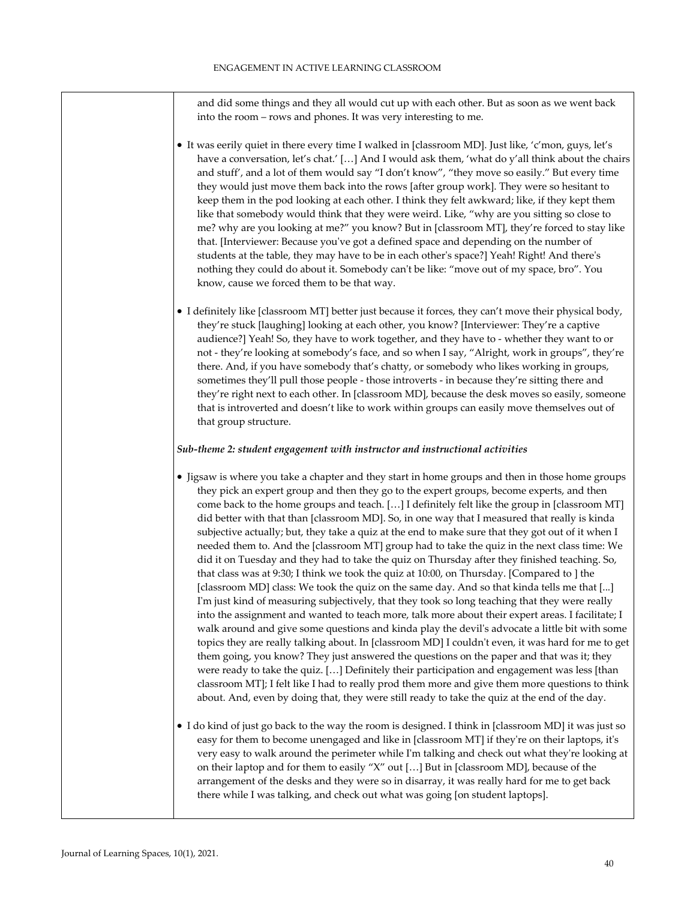and did some things and they all would cut up with each other. But as soon as we went back into the room – rows and phones. It was very interesting to me.

- It was eerily quiet in there every time I walked in [classroom MD]. Just like, 'c'mon, guys, let's have a conversation, let's chat.' [...] And I would ask them, 'what do y'all think about the chairs and stuff', and a lot of them would say "I don't know", "they move so easily." But every time they would just move them back into the rows [after group work]. They were so hesitant to keep them in the pod looking at each other. I think they felt awkward; like, if they kept them like that somebody would think that they were weird. Like, "why are you sitting so close to me? why are you looking at me?" you know? But in [classroom MT], they're forced to stay like that. [Interviewer: Because youʹve got a defined space and depending on the number of students at the table, they may have to be in each otherʹs space?] Yeah! Right! And thereʹs nothing they could do about it. Somebody can't be like: "move out of my space, bro". You know, cause we forced them to be that way.
- I definitely like [classroom MT] better just because it forces, they can't move their physical body, they're stuck [laughing] looking at each other, you know? [Interviewer: They're a captive audience?] Yeah! So, they have to work together, and they have to ‐ whether they want to or not ‐ they're looking at somebody's face, and so when I say, "Alright, work in groups", they're there. And, if you have somebody that's chatty, or somebody who likes working in groups, sometimes they'll pull those people - those introverts - in because they're sitting there and they're right next to each other. In [classroom MD], because the desk moves so easily, someone that is introverted and doesn't like to work within groups can easily move themselves out of that group structure.

#### *Sub‐theme 2: student engagement with instructor and instructional activities*

- Jigsaw is where you take a chapter and they start in home groups and then in those home groups they pick an expert group and then they go to the expert groups, become experts, and then come back to the home groups and teach. […] I definitely felt like the group in [classroom MT] did better with that than [classroom MD]. So, in one way that I measured that really is kinda subjective actually; but, they take a quiz at the end to make sure that they got out of it when I needed them to. And the [classroom MT] group had to take the quiz in the next class time: We did it on Tuesday and they had to take the quiz on Thursday after they finished teaching. So, that class was at 9:30; I think we took the quiz at 10:00, on Thursday. [Compared to ] the [classroom MD] class: We took the quiz on the same day. And so that kinda tells me that [...] I'm just kind of measuring subjectively, that they took so long teaching that they were really into the assignment and wanted to teach more, talk more about their expert areas. I facilitate; I walk around and give some questions and kinda play the devil's advocate a little bit with some topics they are really talking about. In [classroom MD] I couldn't even, it was hard for me to get them going, you know? They just answered the questions on the paper and that was it; they were ready to take the quiz. […] Definitely their participation and engagement was less [than classroom MT]; I felt like I had to really prod them more and give them more questions to think about. And, even by doing that, they were still ready to take the quiz at the end of the day.
- I do kind of just go back to the way the room is designed. I think in [classroom MD] it was just so easy for them to become unengaged and like in [classroom MT] if they're on their laptops, it's very easy to walk around the perimeter while Iʹm talking and check out what theyʹre looking at on their laptop and for them to easily "X" out […] But in [classroom MD], because of the arrangement of the desks and they were so in disarray, it was really hard for me to get back there while I was talking, and check out what was going [on student laptops].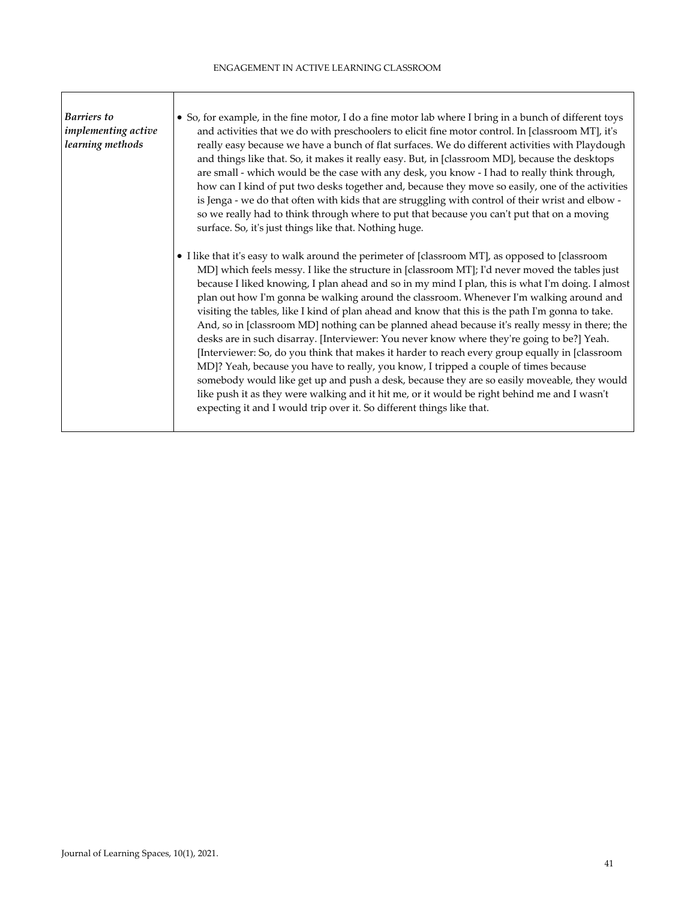| Barriers to<br>implementing active<br>learning methods | • So, for example, in the fine motor, I do a fine motor lab where I bring in a bunch of different toys<br>and activities that we do with preschoolers to elicit fine motor control. In [classroom MT], it's<br>really easy because we have a bunch of flat surfaces. We do different activities with Playdough<br>and things like that. So, it makes it really easy. But, in [classroom MD], because the desktops<br>are small - which would be the case with any desk, you know - I had to really think through,<br>how can I kind of put two desks together and, because they move so easily, one of the activities<br>is Jenga - we do that often with kids that are struggling with control of their wrist and elbow -<br>so we really had to think through where to put that because you can't put that on a moving<br>surface. So, it's just things like that. Nothing huge.                                                                                                                                                                                                                                                                                       |
|--------------------------------------------------------|--------------------------------------------------------------------------------------------------------------------------------------------------------------------------------------------------------------------------------------------------------------------------------------------------------------------------------------------------------------------------------------------------------------------------------------------------------------------------------------------------------------------------------------------------------------------------------------------------------------------------------------------------------------------------------------------------------------------------------------------------------------------------------------------------------------------------------------------------------------------------------------------------------------------------------------------------------------------------------------------------------------------------------------------------------------------------------------------------------------------------------------------------------------------------|
|                                                        | • I like that it's easy to walk around the perimeter of [classroom MT], as opposed to [classroom<br>MD] which feels messy. I like the structure in [classroom MT]; I'd never moved the tables just<br>because I liked knowing, I plan ahead and so in my mind I plan, this is what I'm doing. I almost<br>plan out how I'm gonna be walking around the classroom. Whenever I'm walking around and<br>visiting the tables, like I kind of plan ahead and know that this is the path I'm gonna to take.<br>And, so in [classroom MD] nothing can be planned ahead because it's really messy in there; the<br>desks are in such disarray. [Interviewer: You never know where they're going to be?] Yeah.<br>[Interviewer: So, do you think that makes it harder to reach every group equally in [classroom]<br>MD]? Yeah, because you have to really, you know, I tripped a couple of times because<br>somebody would like get up and push a desk, because they are so easily moveable, they would<br>like push it as they were walking and it hit me, or it would be right behind me and I wasn't<br>expecting it and I would trip over it. So different things like that. |